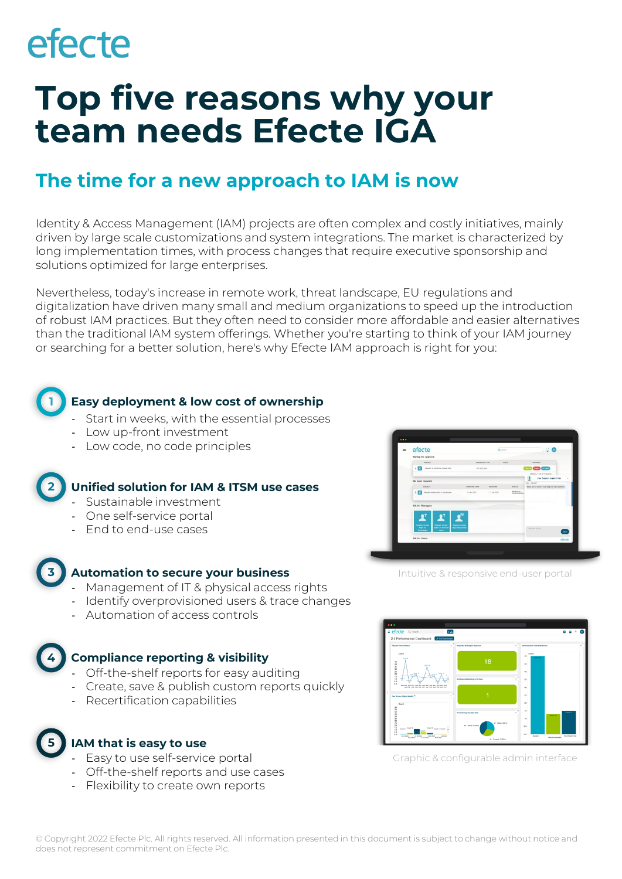# efecte

## **Top five reasons why your team needs Efecte IGA**

### **The time for a new approach to IAM is now**

Identity & Access Management (IAM) projects are often complex and costly initiatives, mainly driven by large scale customizations and system integrations. The market is characterized by long implementation times, with process changes that require executive sponsorship and solutions optimized for large enterprises.

Nevertheless, today's increase in remote work, threat landscape, EU regulations and digitalization have driven many small and medium organizations to speed up the introduction of robust IAM practices. But they often need to consider more affordable and easier alternatives than the traditional IAM system offerings. Whether you're starting to think of your IAM journey or searching for a better solution, here's why Efecte IAM approach is right for you:



### **Easy deployment & low cost of ownership**

- Start in weeks, with the essential processes
- Low up-front investment
- Low code, no code principles

#### **2 Unified solution for IAM & ITSM use cases**

- Sustainable investment
- One self-service portal
- End to end-use cases



#### **Automation to secure your business**

- Management of IT & physical access rights
- Identify overprovisioned users & trace changes
- Automation of access controls

#### **4 Compliance reporting & visibility**

- Off-the-shelf reports for easy auditing
- Create, save & publish custom reports quickly
- Recertification capabilities
- **5**

### **IAM that is easy to use**

- Easy to use self-service portal
- Off-the-shelf reports and use cases
- Flexibility to create own reports



Intuitive & responsive end-user portal



Graphic & configurable admin interface